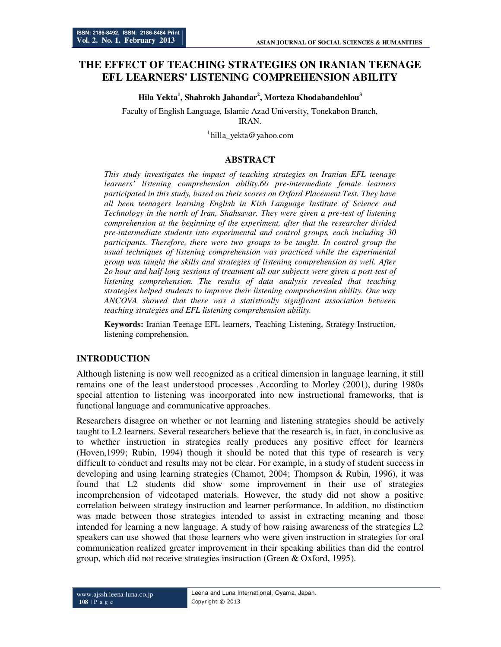# **THE EFFECT OF TEACHING STRATEGIES ON IRANIAN TEENAGE EFL LEARNERS' LISTENING COMPREHENSION ABILITY**

**Hila Yekta<sup>1</sup> , Shahrokh Jahandar<sup>2</sup> , Morteza Khodabandehlou<sup>3</sup>**

Faculty of English Language, Islamic Azad University, Tonekabon Branch, IRAN.

 $1$ hilla\_yekta@yahoo.com

### **ABSTRACT**

*This study investigates the impact of teaching strategies on Iranian EFL teenage learners' listening comprehension ability.60 pre-intermediate female learners participated in this study, based on their scores on Oxford Placement Test. They have all been teenagers learning English in Kish Language Institute of Science and Technology in the north of Iran, Shahsavar. They were given a pre-test of listening comprehension at the beginning of the experiment, after that the researcher divided pre-intermediate students into experimental and control groups, each including 30 participants. Therefore, there were two groups to be taught. In control group the usual techniques of listening comprehension was practiced while the experimental group was taught the skills and strategies of listening comprehension as well. After 2o hour and half-long sessions of treatment all our subjects were given a post-test of listening comprehension. The results of data analysis revealed that teaching strategies helped students to improve their listening comprehension ability. One way ANCOVA showed that there was a statistically significant association between teaching strategies and EFL listening comprehension ability.* 

**Keywords:** Iranian Teenage EFL learners, Teaching Listening, Strategy Instruction, listening comprehension.

#### **INTRODUCTION**

Although listening is now well recognized as a critical dimension in language learning, it still remains one of the least understood processes .According to Morley (2001), during 1980s special attention to listening was incorporated into new instructional frameworks, that is functional language and communicative approaches.

Researchers disagree on whether or not learning and listening strategies should be actively taught to L2 learners. Several researchers believe that the research is, in fact, in conclusive as to whether instruction in strategies really produces any positive effect for learners (Hoven,1999; Rubin, 1994) though it should be noted that this type of research is very difficult to conduct and results may not be clear. For example, in a study of student success in developing and using learning strategies (Chamot, 2004; Thompson & Rubin, 1996), it was found that L2 students did show some improvement in their use of strategies incomprehension of videotaped materials. However, the study did not show a positive correlation between strategy instruction and learner performance. In addition, no distinction was made between those strategies intended to assist in extracting meaning and those intended for learning a new language. A study of how raising awareness of the strategies L2 speakers can use showed that those learners who were given instruction in strategies for oral communication realized greater improvement in their speaking abilities than did the control group, which did not receive strategies instruction (Green & Oxford, 1995).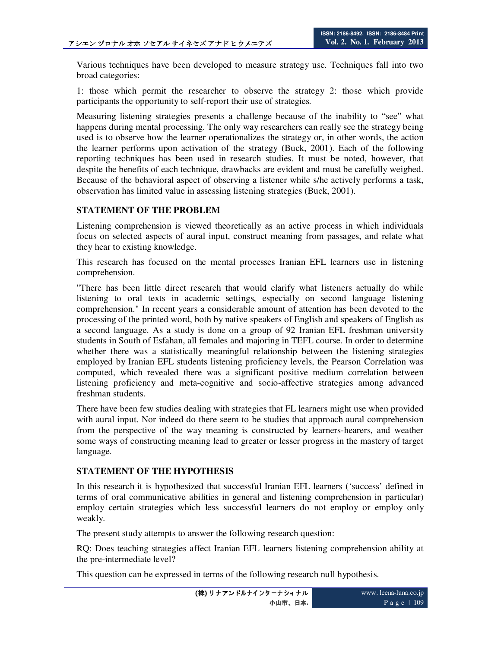Various techniques have been developed to measure strategy use. Techniques fall into two broad categories:

1: those which permit the researcher to observe the strategy 2: those which provide participants the opportunity to self-report their use of strategies*.* 

Measuring listening strategies presents a challenge because of the inability to "see" what happens during mental processing. The only way researchers can really see the strategy being used is to observe how the learner operationalizes the strategy or, in other words, the action the learner performs upon activation of the strategy (Buck, 2001). Each of the following reporting techniques has been used in research studies. It must be noted, however, that despite the benefits of each technique, drawbacks are evident and must be carefully weighed. Because of the behavioral aspect of observing a listener while s/he actively performs a task, observation has limited value in assessing listening strategies (Buck, 2001).

### **STATEMENT OF THE PROBLEM**

Listening comprehension is viewed theoretically as an active process in which individuals focus on selected aspects of aural input, construct meaning from passages, and relate what they hear to existing knowledge.

This research has focused on the mental processes Iranian EFL learners use in listening comprehension.

"There has been little direct research that would clarify what listeners actually do while listening to oral texts in academic settings, especially on second language listening comprehension." In recent years a considerable amount of attention has been devoted to the processing of the printed word, both by native speakers of English and speakers of English as a second language. As a study is done on a group of 92 Iranian EFL freshman university students in South of Esfahan, all females and majoring in TEFL course. In order to determine whether there was a statistically meaningful relationship between the listening strategies employed by Iranian EFL students listening proficiency levels, the Pearson Correlation was computed, which revealed there was a significant positive medium correlation between listening proficiency and meta-cognitive and socio-affective strategies among advanced freshman students.

There have been few studies dealing with strategies that FL learners might use when provided with aural input. Nor indeed do there seem to be studies that approach aural comprehension from the perspective of the way meaning is constructed by learners-hearers, and weather some ways of constructing meaning lead to greater or lesser progress in the mastery of target language.

#### **STATEMENT OF THE HYPOTHESIS**

In this research it is hypothesized that successful Iranian EFL learners ('success' defined in terms of oral communicative abilities in general and listening comprehension in particular) employ certain strategies which less successful learners do not employ or employ only weakly.

The present study attempts to answer the following research question:

RQ: Does teaching strategies affect Iranian EFL learners listening comprehension ability at the pre-intermediate level?

This question can be expressed in terms of the following research null hypothesis.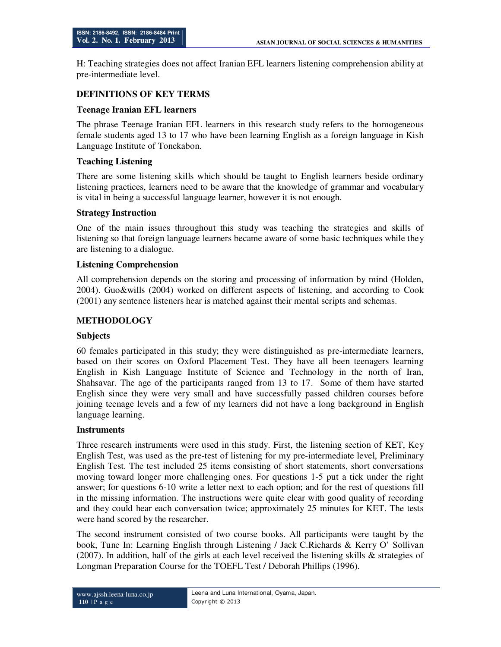H: Teaching strategies does not affect Iranian EFL learners listening comprehension ability at pre-intermediate level.

## **DEFINITIONS OF KEY TERMS**

#### **Teenage Iranian EFL learners**

The phrase Teenage Iranian EFL learners in this research study refers to the homogeneous female students aged 13 to 17 who have been learning English as a foreign language in Kish Language Institute of Tonekabon.

#### **Teaching Listening**

There are some listening skills which should be taught to English learners beside ordinary listening practices, learners need to be aware that the knowledge of grammar and vocabulary is vital in being a successful language learner, however it is not enough.

#### **Strategy Instruction**

One of the main issues throughout this study was teaching the strategies and skills of listening so that foreign language learners became aware of some basic techniques while they are listening to a dialogue.

#### **Listening Comprehension**

All comprehension depends on the storing and processing of information by mind (Holden, 2004). Guo&wills (2004) worked on different aspects of listening, and according to Cook (2001) any sentence listeners hear is matched against their mental scripts and schemas.

## **METHODOLOGY**

#### **Subjects**

60 females participated in this study; they were distinguished as pre-intermediate learners, based on their scores on Oxford Placement Test. They have all been teenagers learning English in Kish Language Institute of Science and Technology in the north of Iran, Shahsavar. The age of the participants ranged from 13 to 17. Some of them have started English since they were very small and have successfully passed children courses before joining teenage levels and a few of my learners did not have a long background in English language learning.

#### **Instruments**

Three research instruments were used in this study. First, the listening section of KET, Key English Test, was used as the pre-test of listening for my pre-intermediate level, Preliminary English Test. The test included 25 items consisting of short statements, short conversations moving toward longer more challenging ones. For questions 1-5 put a tick under the right answer; for questions 6-10 write a letter next to each option; and for the rest of questions fill in the missing information. The instructions were quite clear with good quality of recording and they could hear each conversation twice; approximately 25 minutes for KET. The tests were hand scored by the researcher.

The second instrument consisted of two course books. All participants were taught by the book, Tune In: Learning English through Listening / Jack C.Richards & Kerry O' Sollivan (2007). In addition, half of the girls at each level received the listening skills & strategies of Longman Preparation Course for the TOEFL Test / Deborah Phillips (1996).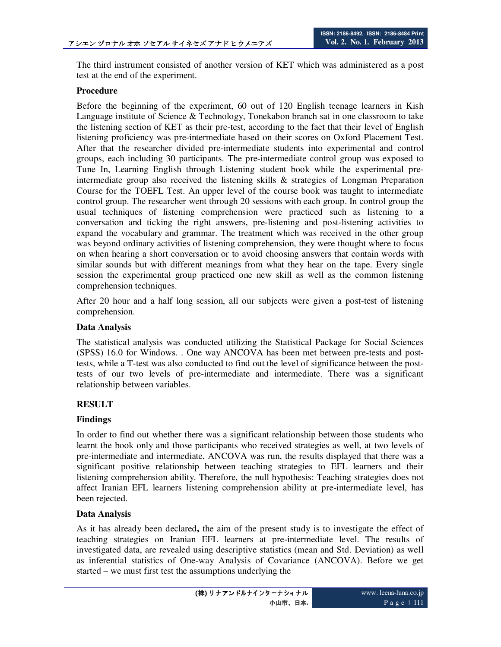The third instrument consisted of another version of KET which was administered as a post test at the end of the experiment.

#### **Procedure**

Before the beginning of the experiment, 60 out of 120 English teenage learners in Kish Language institute of Science & Technology, Tonekabon branch sat in one classroom to take the listening section of KET as their pre-test, according to the fact that their level of English listening proficiency was pre-intermediate based on their scores on Oxford Placement Test. After that the researcher divided pre-intermediate students into experimental and control groups, each including 30 participants. The pre-intermediate control group was exposed to Tune In, Learning English through Listening student book while the experimental preintermediate group also received the listening skills & strategies of Longman Preparation Course for the TOEFL Test. An upper level of the course book was taught to intermediate control group. The researcher went through 20 sessions with each group. In control group the usual techniques of listening comprehension were practiced such as listening to a conversation and ticking the right answers, pre-listening and post-listening activities to expand the vocabulary and grammar. The treatment which was received in the other group was beyond ordinary activities of listening comprehension, they were thought where to focus on when hearing a short conversation or to avoid choosing answers that contain words with similar sounds but with different meanings from what they hear on the tape. Every single session the experimental group practiced one new skill as well as the common listening comprehension techniques.

After 20 hour and a half long session, all our subjects were given a post-test of listening comprehension.

### **Data Analysis**

The statistical analysis was conducted utilizing the Statistical Package for Social Sciences (SPSS) 16.0 for Windows. . One way ANCOVA has been met between pre-tests and posttests, while a T-test was also conducted to find out the level of significance between the posttests of our two levels of pre-intermediate and intermediate. There was a significant relationship between variables.

## **RESULT**

## **Findings**

In order to find out whether there was a significant relationship between those students who learnt the book only and those participants who received strategies as well, at two levels of pre-intermediate and intermediate, ANCOVA was run, the results displayed that there was a significant positive relationship between teaching strategies to EFL learners and their listening comprehension ability. Therefore, the null hypothesis: Teaching strategies does not affect Iranian EFL learners listening comprehension ability at pre-intermediate level, has been rejected.

#### **Data Analysis**

As it has already been declared**,** the aim of the present study is to investigate the effect of teaching strategies on Iranian EFL learners at pre-intermediate level. The results of investigated data, are revealed using descriptive statistics (mean and Std. Deviation) as well as inferential statistics of One-way Analysis of Covariance (ANCOVA). Before we get started – we must first test the assumptions underlying the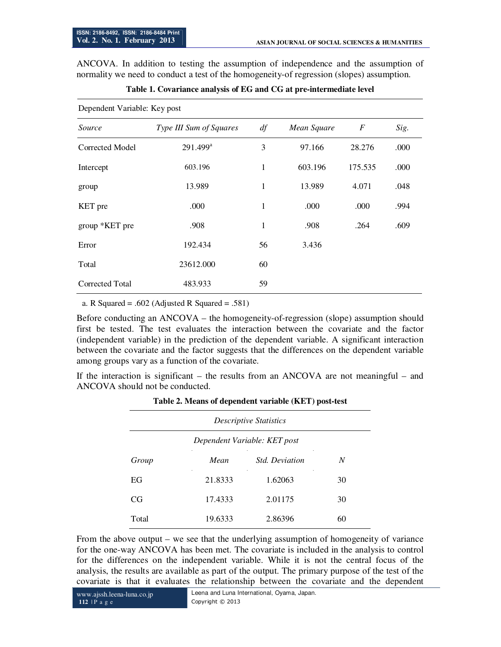ANCOVA. In addition to testing the assumption of independence and the assumption of normality we need to conduct a test of the homogeneity-of regression (slopes) assumption.

| Table 1. Covariance analysis of EG and CG at pre-intermediate level |  |  |  |  |  |
|---------------------------------------------------------------------|--|--|--|--|--|
|---------------------------------------------------------------------|--|--|--|--|--|

| Dependent Variable: Key post |  |
|------------------------------|--|
|------------------------------|--|

| Source          | Type III Sum of Squares | df | Mean Square | $\boldsymbol{F}$ | Sig. |
|-----------------|-------------------------|----|-------------|------------------|------|
| Corrected Model | $291.499^a$             | 3  | 97.166      | 28.276           | .000 |
| Intercept       | 603.196                 | 1  | 603.196     | 175.535          | .000 |
| group           | 13.989                  | 1  | 13.989      | 4.071            | .048 |
| <b>KET</b> pre  | .000                    | 1  | .000        | .000             | .994 |
| group *KET pre  | .908                    | 1  | .908        | .264             | .609 |
| Error           | 192.434                 | 56 | 3.436       |                  |      |
| Total           | 23612.000               | 60 |             |                  |      |
| Corrected Total | 483.933                 | 59 |             |                  |      |

a. R Squared = .602 (Adjusted R Squared = .581)

Before conducting an ANCOVA – the homogeneity-of-regression (slope) assumption should first be tested. The test evaluates the interaction between the covariate and the factor (independent variable) in the prediction of the dependent variable. A significant interaction between the covariate and the factor suggests that the differences on the dependent variable among groups vary as a function of the covariate.

If the interaction is significant – the results from an ANCOVA are not meaningful – and ANCOVA should not be conducted.

| <b>Descriptive Statistics</b> |         |                       |    |  |  |
|-------------------------------|---------|-----------------------|----|--|--|
| Dependent Variable: KET post  |         |                       |    |  |  |
| Group                         | Mean    | <i>Std. Deviation</i> | N  |  |  |
| EG                            | 21.8333 | 1.62063               | 30 |  |  |
| CG                            | 17.4333 | 2.01175               | 30 |  |  |
| Total                         | 19.6333 | 2.86396               | 60 |  |  |

#### **Table 2. Means of dependent variable (KET) post-test**

From the above output – we see that the underlying assumption of homogeneity of variance for the one-way ANCOVA has been met. The covariate is included in the analysis to control for the differences on the independent variable. While it is not the central focus of the analysis, the results are available as part of the output. The primary purpose of the test of the covariate is that it evaluates the relationship between the covariate and the dependent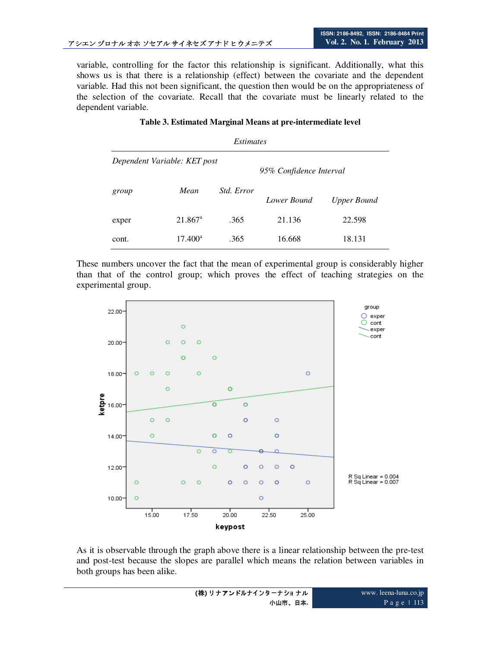variable, controlling for the factor this relationship is significant. Additionally, what this shows us is that there is a relationship (effect) between the covariate and the dependent variable. Had this not been significant, the question then would be on the appropriateness of the selection of the covariate. Recall that the covariate must be linearly related to the dependent variable.

| Table 3. Estimated Marginal Means at pre-intermediate level |                  |            |             |             |  |  |
|-------------------------------------------------------------|------------------|------------|-------------|-------------|--|--|
| <i>Estimates</i>                                            |                  |            |             |             |  |  |
| Dependent Variable: KET post<br>95% Confidence Interval     |                  |            |             |             |  |  |
| group                                                       | Mean             | Std. Error | Lower Bound | Upper Bound |  |  |
| exper                                                       | $21.867^{\rm a}$ | .365       | 21.136      | 22.598      |  |  |
| cont.                                                       | $17.400^{\circ}$ | .365       | 16.668      | 18.131      |  |  |

These numbers uncover the fact that the mean of experimental group is considerably higher than that of the control group; which proves the effect of teaching strategies on the experimental group.



As it is observable through the graph above there is a linear relationship between the pre-test and post-test because the slopes are parallel which means the relation between variables in both groups has been alike.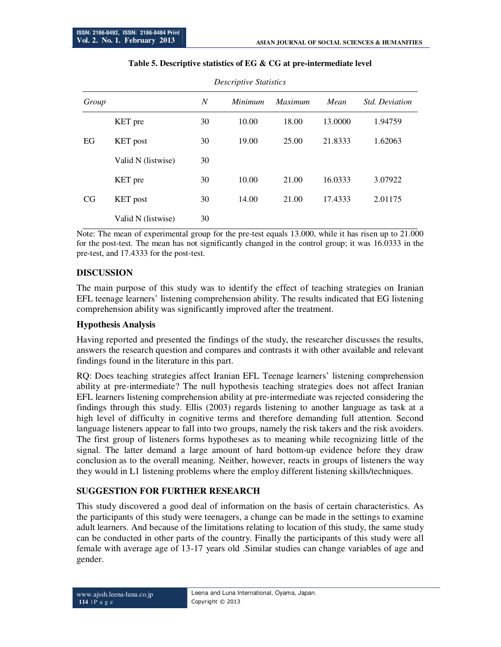| Group |                    | N  | Minimum | <i>Maximum</i> | Mean    | <i>Std. Deviation</i> |
|-------|--------------------|----|---------|----------------|---------|-----------------------|
| EG    | KET pre            | 30 | 10.00   | 18.00          | 13.0000 | 1.94759               |
|       | <b>KET</b> post    | 30 | 19.00   | 25.00          | 21.8333 | 1.62063               |
|       | Valid N (listwise) | 30 |         |                |         |                       |
| CG    | KET pre            | 30 | 10.00   | 21.00          | 16.0333 | 3.07922               |
|       | <b>KET</b> post    | 30 | 14.00   | 21.00          | 17.4333 | 2.01175               |
|       | Valid N (listwise) | 30 |         |                |         |                       |

#### **Table 5. Descriptive statistics of EG & CG at pre-intermediate level**

*Descriptive Statistics*

Note: The mean of experimental group for the pre-test equals 13.000, while it has risen up to 21.000 for the post-test. The mean has not significantly changed in the control group; it was 16.0333 in the pre-test, and 17.4333 for the post-test.

### **DISCUSSION**

The main purpose of this study was to identify the effect of teaching strategies on Iranian EFL teenage learners' listening comprehension ability. The results indicated that EG listening comprehension ability was significantly improved after the treatment.

#### **Hypothesis Analysis**

Having reported and presented the findings of the study, the researcher discusses the results, answers the research question and compares and contrasts it with other available and relevant findings found in the literature in this part.

RQ: Does teaching strategies affect Iranian EFL Teenage learners' listening comprehension ability at pre-intermediate? The null hypothesis teaching strategies does not affect Iranian EFL learners listening comprehension ability at pre-intermediate was rejected considering the findings through this study. Ellis (2003) regards listening to another language as task at a high level of difficulty in cognitive terms and therefore demanding full attention. Second language listeners appear to fall into two groups, namely the risk takers and the risk avoiders. The first group of listeners forms hypotheses as to meaning while recognizing little of the signal. The latter demand a large amount of hard bottom-up evidence before they draw conclusion as to the overall meaning. Neither, however, reacts in groups of listeners the way they would in L1 listening problems where the employ different listening skills/techniques.

# **SUGGESTION FOR FURTHER RESEARCH**

This study discovered a good deal of information on the basis of certain characteristics. As the participants of this study were teenagers, a change can be made in the settings to examine adult learners. And because of the limitations relating to location of this study, the same study can be conducted in other parts of the country. Finally the participants of this study were all female with average age of 13-17 years old .Similar studies can change variables of age and gender.